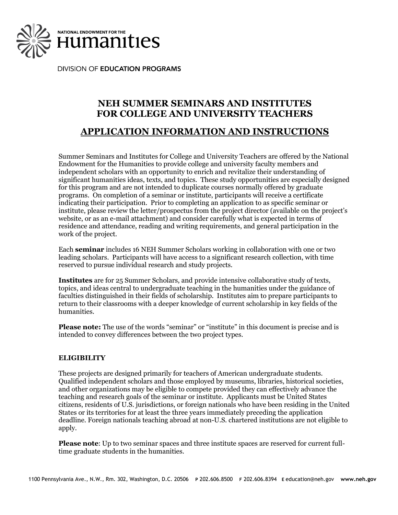

**DIVISION OF EDUCATION PROGRAMS** 

# **NEH SUMMER SEMINARS AND INSTITUTES FOR COLLEGE AND UNIVERSITY TEACHERS**

## **APPLICATION INFORMATION AND INSTRUCTIONS**

Summer Seminars and Institutes for College and University Teachers are offered by the National Endowment for the Humanities to provide college and university faculty members and independent scholars with an opportunity to enrich and revitalize their understanding of significant humanities ideas, texts, and topics. These study opportunities are especially designed for this program and are not intended to duplicate courses normally offered by graduate programs. On completion of a seminar or institute, participants will receive a certificate indicating their participation. Prior to completing an application to as specific seminar or institute, please review the letter/prospectus from the project director (available on the project's website, or as an e-mail attachment) and consider carefully what is expected in terms of residence and attendance, reading and writing requirements, and general participation in the work of the project.

Each **seminar** includes 16 NEH Summer Scholars working in collaboration with one or two leading scholars. Participants will have access to a significant research collection, with time reserved to pursue individual research and study projects.

**Institutes** are for 25 Summer Scholars, and provide intensive collaborative study of texts, topics, and ideas central to undergraduate teaching in the humanities under the guidance of faculties distinguished in their fields of scholarship. Institutes aim to prepare participants to return to their classrooms with a deeper knowledge of current scholarship in key fields of the humanities.

**Please note:** The use of the words "seminar" or "institute" in this document is precise and is intended to convey differences between the two project types.

### **ELIGIBILITY**

These projects are designed primarily for teachers of American undergraduate students. Qualified independent scholars and those employed by museums, libraries, historical societies, and other organizations may be eligible to compete provided they can effectively advance the teaching and research goals of the seminar or institute. Applicants must be United States citizens, residents of U.S. jurisdictions, or foreign nationals who have been residing in the United States or its territories for at least the three years immediately preceding the application deadline. Foreign nationals teaching abroad at non-U.S. chartered institutions are not eligible to apply.

**Please note**: Up to two seminar spaces and three institute spaces are reserved for current fulltime graduate students in the humanities.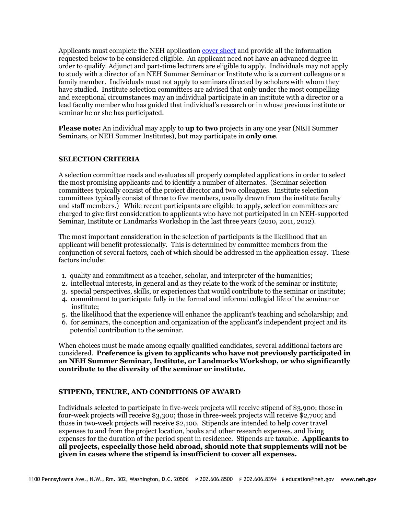Applicants must complete the NEH application [cover sheet](https://securegrants.neh.gov/education/participants/) and provide all the information requested below to be considered eligible. An applicant need not have an advanced degree in order to qualify. Adjunct and part-time lecturers are eligible to apply. Individuals may not apply to study with a director of an NEH Summer Seminar or Institute who is a current colleague or a family member. Individuals must not apply to seminars directed by scholars with whom they have studied. Institute selection committees are advised that only under the most compelling and exceptional circumstances may an individual participate in an institute with a director or a lead faculty member who has guided that individual's research or in whose previous institute or seminar he or she has participated.

**Please note:** An individual may apply to **up to two** projects in any one year (NEH Summer Seminars, or NEH Summer Institutes), but may participate in **only one**.

#### **SELECTION CRITERIA**

A selection committee reads and evaluates all properly completed applications in order to select the most promising applicants and to identify a number of alternates. (Seminar selection committees typically consist of the project director and two colleagues. Institute selection committees typically consist of three to five members, usually drawn from the institute faculty and staff members.) While recent participants are eligible to apply, selection committees are charged to give first consideration to applicants who have not participated in an NEH-supported Seminar, Institute or Landmarks Workshop in the last three years (2010, 2011, 2012).

The most important consideration in the selection of participants is the likelihood that an applicant will benefit professionally. This is determined by committee members from the conjunction of several factors, each of which should be addressed in the application essay. These factors include:

- 1. quality and commitment as a teacher, scholar, and interpreter of the humanities;
- 2. intellectual interests, in general and as they relate to the work of the seminar or institute;
- 3. special perspectives, skills, or experiences that would contribute to the seminar or institute;
- 4. commitment to participate fully in the formal and informal collegial life of the seminar or institute;
- 5. the likelihood that the experience will enhance the applicant's teaching and scholarship; and
- 6. for seminars, the conception and organization of the applicant's independent project and its potential contribution to the seminar.

When choices must be made among equally qualified candidates, several additional factors are considered. **Preference is given to applicants who have not previously participated in an NEH Summer Seminar, Institute, or Landmarks Workshop, or who significantly contribute to the diversity of the seminar or institute.**

### **STIPEND, TENURE, AND CONDITIONS OF AWARD**

Individuals selected to participate in five-week projects will receive stipend of \$3,900; those in four-week projects will receive \$3,300; those in three-week projects will receive \$2,700; and those in two-week projects will receive \$2,100. Stipends are intended to help cover travel expenses to and from the project location, books and other research expenses, and living expenses for the duration of the period spent in residence. Stipends are taxable. **Applicants to all projects, especially those held abroad, should note that supplements will not be given in cases where the stipend is insufficient to cover all expenses.**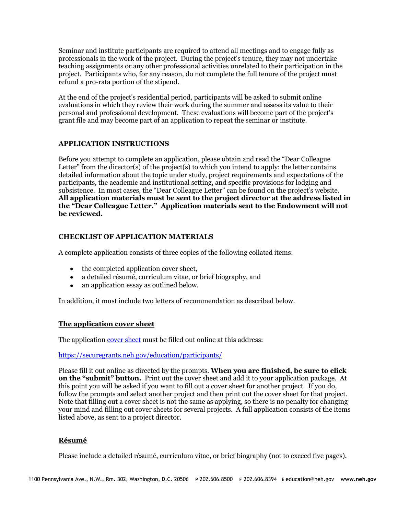Seminar and institute participants are required to attend all meetings and to engage fully as professionals in the work of the project. During the project's tenure, they may not undertake teaching assignments or any other professional activities unrelated to their participation in the project. Participants who, for any reason, do not complete the full tenure of the project must refund a pro-rata portion of the stipend.

At the end of the project's residential period, participants will be asked to submit online evaluations in which they review their work during the summer and assess its value to their personal and professional development. These evaluations will become part of the project's grant file and may become part of an application to repeat the seminar or institute.

## **APPLICATION INSTRUCTIONS**

Before you attempt to complete an application, please obtain and read the "Dear Colleague Letter" from the director(s) of the project(s) to which you intend to apply: the letter contains detailed information about the topic under study, project requirements and expectations of the participants, the academic and institutional setting, and specific provisions for lodging and subsistence. In most cases, the "Dear Colleague Letter" can be found on the project's website. **All application materials must be sent to the project director at the address listed in the "Dear Colleague Letter." Application materials sent to the Endowment will not be reviewed.**

## **CHECKLIST OF APPLICATION MATERIALS**

A complete application consists of three copies of the following collated items:

- the completed application cover sheet,
- a detailed résumé, curriculum vitae, or brief biography, and
- an application essay as outlined below.

In addition, it must include two letters of recommendation as described below.

### **The application cover sheet**

The applicatio[n cover sheet](https://securegrants.neh.gov/education/participants/) must be filled out online at this address:

<https://securegrants.neh.gov/education/participants/>

Please fill it out online as directed by the prompts. **When you are finished, be sure to click on the "submit" button.** Print out the cover sheet and add it to your application package. At this point you will be asked if you want to fill out a cover sheet for another project. If you do, follow the prompts and select another project and then print out the cover sheet for that project. Note that filling out a cover sheet is not the same as applying, so there is no penalty for changing your mind and filling out cover sheets for several projects. A full application consists of the items listed above, as sent to a project director.

## **Résumé**

Please include a detailed résumé, curriculum vitae, or brief biography (not to exceed five pages).